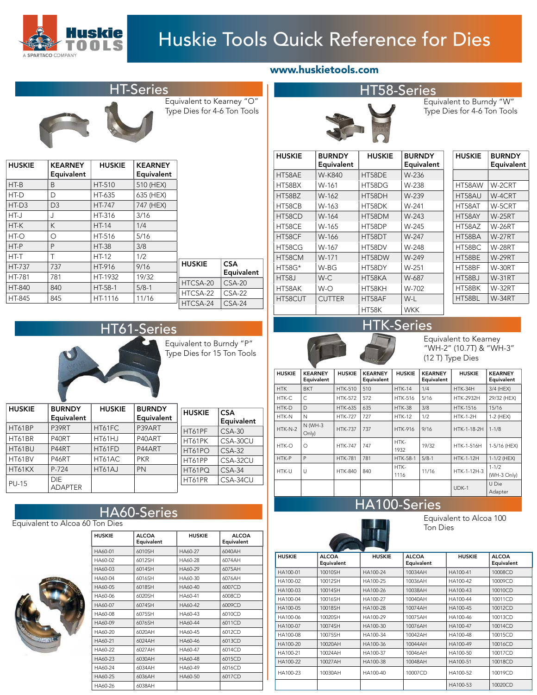

# Huskie Tools Quick Reference for Dies

Equivalent to Kearney "O" Type Dies for 4-6 Ton Tools

| <b>HUSKIE</b> | <b>KEARNEY</b><br>Equivalent | <b>HUSKIE</b> | <b>KEARNEY</b><br>Equivalent |               |            |
|---------------|------------------------------|---------------|------------------------------|---------------|------------|
| $HT-B$        | B                            | HT-510        | 510 (HEX)                    |               |            |
| HT-D          | D                            | HT-635        | 635 (HEX)                    |               |            |
| $HT-D3$       | D <sub>3</sub>               | <b>HT-747</b> | 747 (HEX)                    |               |            |
| HT-J          | J                            | HT-316        | 3/16                         |               |            |
| HT-K          | K                            | $HT-14$       | 1/4                          |               |            |
| $HT-O$        | O                            | HT-516        | 5/16                         |               |            |
| HT-P          | P                            | <b>HT-38</b>  | 3/8                          |               |            |
| HT-T          | Τ                            | <b>HT-12</b>  | 1/2                          |               |            |
| HT-737        | 737                          | HT-916        | 9/16                         | <b>HUSKIE</b> | <b>CSA</b> |
| HT-781        | 781                          | HT-1932       | 19/32                        |               | Equivalent |
| HT-840        | 840                          | $HT-58-1$     | $5/8-1$                      | HTCSA-20      | $CSA-20$   |
|               |                              | HT-1116       | 11/16                        | HTCSA-22      | $CSA-22$   |
| HT-845        | 845                          |               |                              | HTCSA-24      | $CSA-24$   |



Equivalent to Burndy "P" Type Dies for 15 Ton Tools

| <b>HUSKIE</b> | <b>BURNDY</b><br>Equivalent  | <b>HUSKIE</b> | <b>BURNDY</b><br>Equivalent | <b>HUSKIE</b> | <b>CSA</b><br>Equivalent |
|---------------|------------------------------|---------------|-----------------------------|---------------|--------------------------|
| HT61BP        | P39RT                        | HT61FC        | P39ART                      | HT61PF        | $CSA-30$                 |
| HT61BR        | P40RT                        | HT61HJ        | P40ART                      | HT61PK        | CSA-30CU                 |
| HT61BU        | P44RT                        | HT61FD        | P44ART                      | HT61PO        | $CSA-32$                 |
| HT61BV        | <b>P46RT</b>                 | HT61AC        | <b>PKR</b>                  | HT61PP        | CSA-32CU                 |
| HT61KX        | P-724                        | HT61AJ        | <b>PN</b>                   | HT61PQ        | $CSA-34$                 |
| <b>PU-15</b>  | <b>DIE</b><br><b>ADAPTER</b> |               |                             | HT61PR        | CSA-34CU                 |

## HA60-Series





| <b>HUSKIE</b> | <b>ALCOA</b><br>Equivalent | <b>HUSKIE</b> | <b>ALCOA</b><br>Equivalent |
|---------------|----------------------------|---------------|----------------------------|
| HA60-01       | 6010SH                     | HA60-27       | 6040AH                     |
| HA60-02       | 6012SH                     | HA60-28       | 6074AH                     |
| HA60-03       | 6014SH                     | HA60-29       | 6075AH                     |
| HA60-04       | 6016SH                     | HA60-30       | 6076AH                     |
| HA60-05       | 6018SH                     | HA60-40       | 6007CD                     |
| HA60-06       | 6020SH                     | HA60-41       | 6008CD                     |
| HA60-07       | 6074SH                     | HA60-42       | 6009CD                     |
| HA60-08       | 6075SH                     | HA60-43       | 6010CD                     |
| HA60-09       | 6076SH                     | HA60-44       | 6011CD                     |
| HA60-20       | 6020AH                     | HA60-45       | 6012CD                     |
| HA60-21       | 6024AH                     | HA60-46       | 6013CD                     |
| HA60-22       | 6027AH                     | HA60-47       | 6014CD                     |
| HA60-23       | 6030AH                     | HA60-48       | 6015CD                     |
| HA60-24       | 6034AH                     | HA60-49       | 6016CD                     |
| HA60-25       | 6036AH                     | HA60-50       | 6017CD                     |
| HA60-26       | 6038AH                     |               |                            |
|               |                            |               |                            |

|  | www.huskietools.com |
|--|---------------------|
|  |                     |



Equivalent to Burndy "W" Type Dies for 4-6 Ton Tools

| <b>HUSKIE</b> | <b>BURNDY</b> | <b>HUSKIE</b> | <b>BURNDY</b> |
|---------------|---------------|---------------|---------------|
|               | Equivalent    |               | Equivalent    |
| HT58AE        | W-K840        | HT58DE        | W-236         |
| HT58BX        | W-161         | HT58DG        | W-238         |
| HT58BZ        | $W-162$       | HT58DH        | W-239         |
| HT58CB        | W-163         | HT58DK        | W-241         |
| HT58CD        | W-164         | HT58DM        | $W-243$       |
| HT58CE        | W-165         | HT58DP        | W-245         |
| HT58CF        | W-166         | HT58DT        | W-247         |
| HT58CG        | W-167         | HT58DV        | W-248         |
| HT58CM        | W-171         | HT58DW        | W-249         |
| <b>HT58G*</b> | W-BG          | HT58DY        | W-251         |
| <b>HT58J</b>  | $W-C$         | HT58KA        | W-687         |
| HT58AK        | $W$ -O        | HT58KH        | W-702         |
| HT58CUT       | <b>CUTTER</b> | HT58AF        | W-L           |
|               |               | HT58K         | <b>WKK</b>    |

| <b>HUSKIE</b> | <b>BURNDY</b><br>Equivalent |
|---------------|-----------------------------|
|               |                             |
| HT58AW        | W-2CRT                      |
| HT58AU        | W-4CRT                      |
| HT58AT        | W-5CRT                      |
| HT58AY        | <b>W-25RT</b>               |
| HT58AZ        | <b>W-26RT</b>               |
| HT58BA        | <b>W-27RT</b>               |
| HT58BC        | <b>W-28RT</b>               |
| HT58BE        | <b>W-29RT</b>               |
| HT58BF        | <b>W-30RT</b>               |
| <b>HT58BJ</b> | <b>W-31RT</b>               |
| HT58BK        | <b>W-32RT</b>               |
| HT58BL        | W-34RT                      |



Equivalent to Kearney "WH-2" (10.7T) & "WH-3" (12 T) Type Dies

| <b>HUSKIE</b> | <b>KEARNEY</b><br>Equivalent | <b>HUSKIE</b>  | <b>KEARNEY</b><br>Equivalent | <b>HUSKIE</b>   | <b>KEARNEY</b><br>Equivalent | <b>HUSKIE</b>    | <b>KEARNEY</b><br>Equivalent |
|---------------|------------------------------|----------------|------------------------------|-----------------|------------------------------|------------------|------------------------------|
| <b>HTK</b>    | <b>BKT</b>                   | <b>HTK-510</b> | 510                          | <b>HTK-14</b>   | 1/4                          | HTK-34H          | 3/4 (HEX)                    |
| HTK-C         | C                            | <b>HTK-572</b> | 572                          | <b>HTK-516</b>  | 5/16                         | <b>HTK-2932H</b> | 29/32 (HEX)                  |
| HTK-D         | $\mathsf{D}$                 | <b>HTK-635</b> | 635                          | <b>HTK-38</b>   | 3/8                          | <b>HTK-1516</b>  | 15/16                        |
| HTK-N         | N                            | <b>HTK-727</b> | 727                          | <b>HTK-12</b>   | 1/2                          | <b>HTK-1-2H</b>  | 1-2 (HEX)                    |
| $HTK-N-2$     | N (WH-3<br>Only)             | <b>HTK-737</b> | 737                          | <b>HTK-916</b>  | 9/16                         | HTK-1-18-2H      | $1 - 1/8$                    |
| HTK-O         | O                            | <b>HTK-747</b> | 747                          | HTK-<br>1932    | 19/32                        | HTK-1-516H       | 1-5/16 (HEX)                 |
| HTK-P         | P                            | <b>HTK-781</b> | 781                          | <b>HTK-58-1</b> | $5/8-1$                      | <b>HTK-1-12H</b> | $1-1/2$ (HEX)                |
| HTK-U         | U                            | <b>HTK-840</b> | 840                          | HTK-<br>1116    | 11/16                        | HTK-1-12H-3      | $1 - 1/2$<br>(WH-3 Only)     |
|               |                              |                |                              |                 |                              | $UDK-1$          | U Die<br>Adapter             |

### 00-Series

Equivalent to Alcoa 100 Ton Dies

|               | <b>CONTRACTOR</b>          |               |                            |               |                            |
|---------------|----------------------------|---------------|----------------------------|---------------|----------------------------|
| <b>HUSKIE</b> | <b>ALCOA</b><br>Equivalent | <b>HUSKIE</b> | <b>ALCOA</b><br>Equivalent | <b>HUSKIE</b> | <b>ALCOA</b><br>Equivalent |
| HA100-01      | 10010SH                    | HA100-24      | 10034AH                    | HA100-41      | 10008CD                    |
| HA100-02      | 10012SH                    | HA100-25      | 10036AH                    | HA100-42      | 10009CD                    |
| HA100-03      | 10014SH                    | HA100-26      | 10038AH                    | HA100-43      | 10010CD                    |
| HA100-04      | 10016SH                    | HA100-27      | 10040AH                    | HA100-44      | 10011CD                    |
| HA100-05      | 10018SH                    | HA100-28      | 10074AH                    | HA100-45      | 10012CD                    |
| HA100-06      | 10020SH                    | HA100-29      | 10075AH                    | HA100-46      | 10013CD                    |
| HA100-07      | 10074SH                    | HA100-30      | 10076AH                    | HA100-47      | 10014CD                    |
| HA100-08      | 10075SH                    | HA100-34      | 10042AH                    | HA100-48      | 10015CD                    |
| HA100-20      | 10020AH                    | HA100-36      | 10044AH                    | HA100-49      | 10016CD                    |
| HA100-21      | 10024AH                    | HA100-37      | 10046AH                    | HA100-50      | 10017CD                    |
| HA100-22      | 10027AH                    | HA100-38      | 10048AH                    | HA100-51      | 10018CD                    |
| HA100-23      | 10030AH                    | HA100-40      | 10007CD                    | HA100-52      | 10019CD                    |
|               |                            |               |                            | HA100-53      | 10020CD                    |